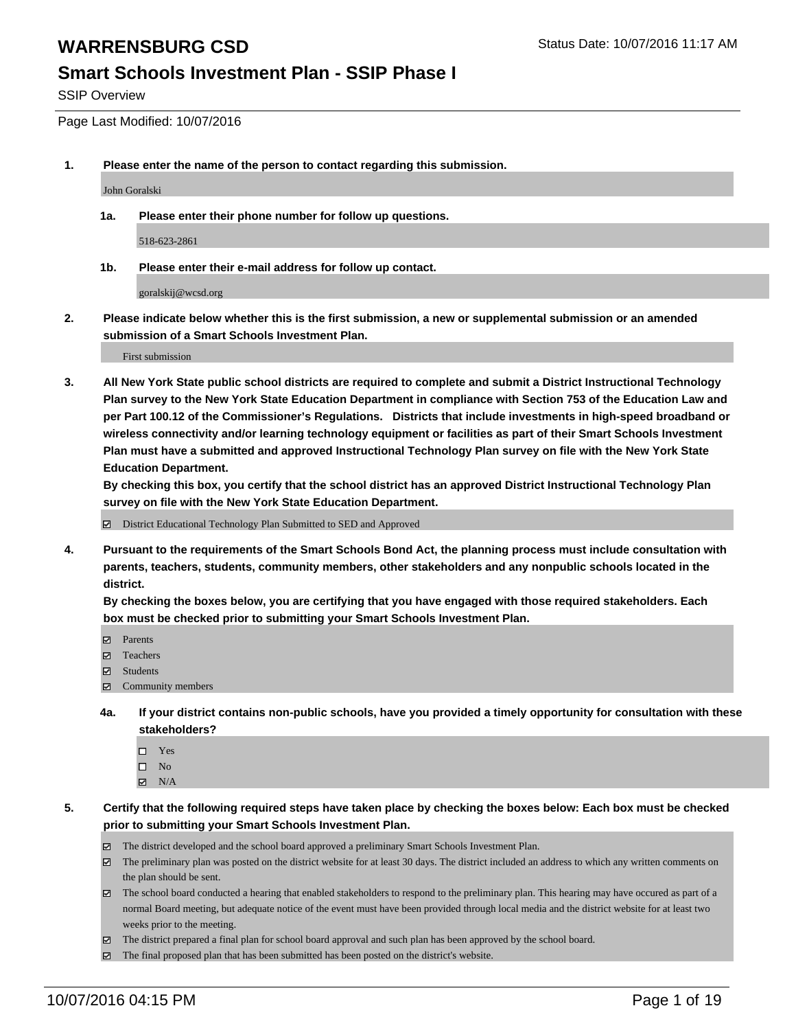#### **Smart Schools Investment Plan - SSIP Phase I**

SSIP Overview

Page Last Modified: 10/07/2016

**1. Please enter the name of the person to contact regarding this submission.**

John Goralski

**1a. Please enter their phone number for follow up questions.**

518-623-2861

**1b. Please enter their e-mail address for follow up contact.**

goralskij@wcsd.org

**2. Please indicate below whether this is the first submission, a new or supplemental submission or an amended submission of a Smart Schools Investment Plan.**

First submission

**3. All New York State public school districts are required to complete and submit a District Instructional Technology Plan survey to the New York State Education Department in compliance with Section 753 of the Education Law and per Part 100.12 of the Commissioner's Regulations. Districts that include investments in high-speed broadband or wireless connectivity and/or learning technology equipment or facilities as part of their Smart Schools Investment Plan must have a submitted and approved Instructional Technology Plan survey on file with the New York State Education Department.** 

**By checking this box, you certify that the school district has an approved District Instructional Technology Plan survey on file with the New York State Education Department.**

District Educational Technology Plan Submitted to SED and Approved

**4. Pursuant to the requirements of the Smart Schools Bond Act, the planning process must include consultation with parents, teachers, students, community members, other stakeholders and any nonpublic schools located in the district.** 

**By checking the boxes below, you are certifying that you have engaged with those required stakeholders. Each box must be checked prior to submitting your Smart Schools Investment Plan.**

- Parents
- Teachers
- **☑** Students
- Community members
- **4a. If your district contains non-public schools, have you provided a timely opportunity for consultation with these stakeholders?**
	- $\Box$  Yes  $\square$  No
	- $\boxtimes$  N/A
- **5. Certify that the following required steps have taken place by checking the boxes below: Each box must be checked prior to submitting your Smart Schools Investment Plan.**
	- The district developed and the school board approved a preliminary Smart Schools Investment Plan.
	- $\boxtimes$  The preliminary plan was posted on the district website for at least 30 days. The district included an address to which any written comments on the plan should be sent.
	- $\boxtimes$  The school board conducted a hearing that enabled stakeholders to respond to the preliminary plan. This hearing may have occured as part of a normal Board meeting, but adequate notice of the event must have been provided through local media and the district website for at least two weeks prior to the meeting.
	- The district prepared a final plan for school board approval and such plan has been approved by the school board.
	- The final proposed plan that has been submitted has been posted on the district's website.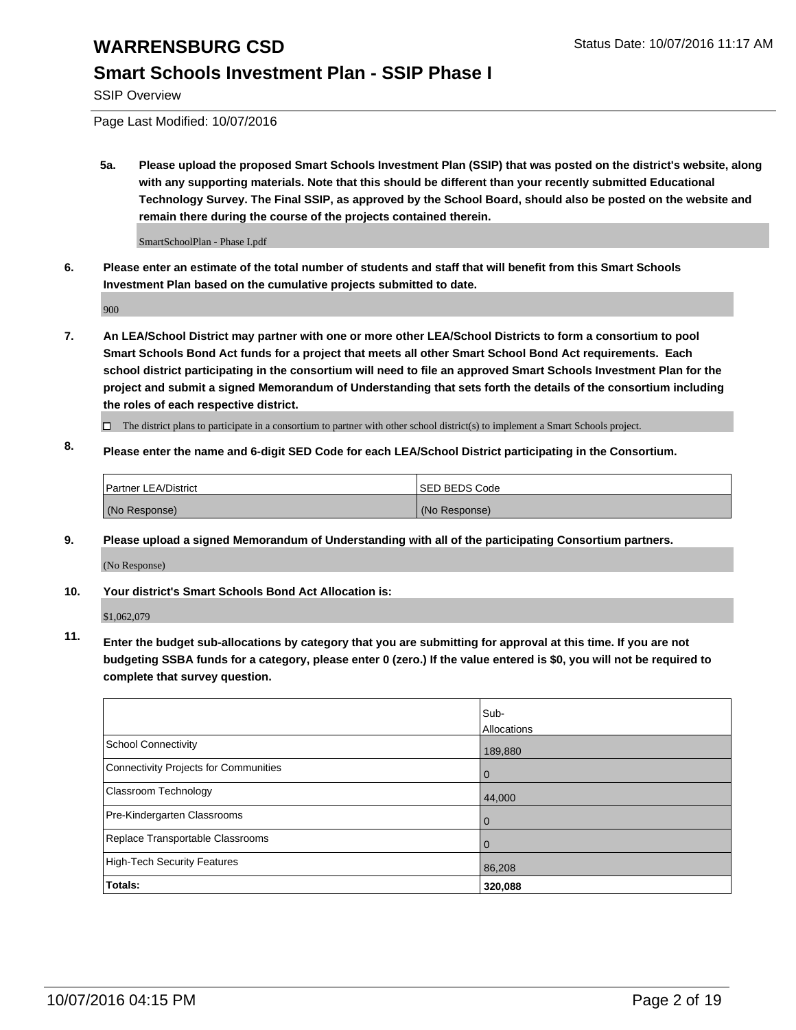#### **Smart Schools Investment Plan - SSIP Phase I**

SSIP Overview

Page Last Modified: 10/07/2016

**5a. Please upload the proposed Smart Schools Investment Plan (SSIP) that was posted on the district's website, along with any supporting materials. Note that this should be different than your recently submitted Educational Technology Survey. The Final SSIP, as approved by the School Board, should also be posted on the website and remain there during the course of the projects contained therein.**

SmartSchoolPlan - Phase I.pdf

**6. Please enter an estimate of the total number of students and staff that will benefit from this Smart Schools Investment Plan based on the cumulative projects submitted to date.**

900

- **7. An LEA/School District may partner with one or more other LEA/School Districts to form a consortium to pool Smart Schools Bond Act funds for a project that meets all other Smart School Bond Act requirements. Each school district participating in the consortium will need to file an approved Smart Schools Investment Plan for the project and submit a signed Memorandum of Understanding that sets forth the details of the consortium including the roles of each respective district.**
	- $\Box$  The district plans to participate in a consortium to partner with other school district(s) to implement a Smart Schools project.
- **8. Please enter the name and 6-digit SED Code for each LEA/School District participating in the Consortium.**

| Partner LEA/District | <b>ISED BEDS Code</b> |
|----------------------|-----------------------|
| (No Response)        | (No Response)         |

**9. Please upload a signed Memorandum of Understanding with all of the participating Consortium partners.**

(No Response)

#### **10. Your district's Smart Schools Bond Act Allocation is:**

\$1,062,079

**11. Enter the budget sub-allocations by category that you are submitting for approval at this time. If you are not budgeting SSBA funds for a category, please enter 0 (zero.) If the value entered is \$0, you will not be required to complete that survey question.**

|                                       | Sub-<br>Allocations |
|---------------------------------------|---------------------|
|                                       |                     |
| <b>School Connectivity</b>            | 189,880             |
| Connectivity Projects for Communities | $\Omega$            |
| <b>Classroom Technology</b>           | 44,000              |
| Pre-Kindergarten Classrooms           | $\Omega$            |
| Replace Transportable Classrooms      | 0                   |
| <b>High-Tech Security Features</b>    | 86,208              |
| Totals:                               | 320,088             |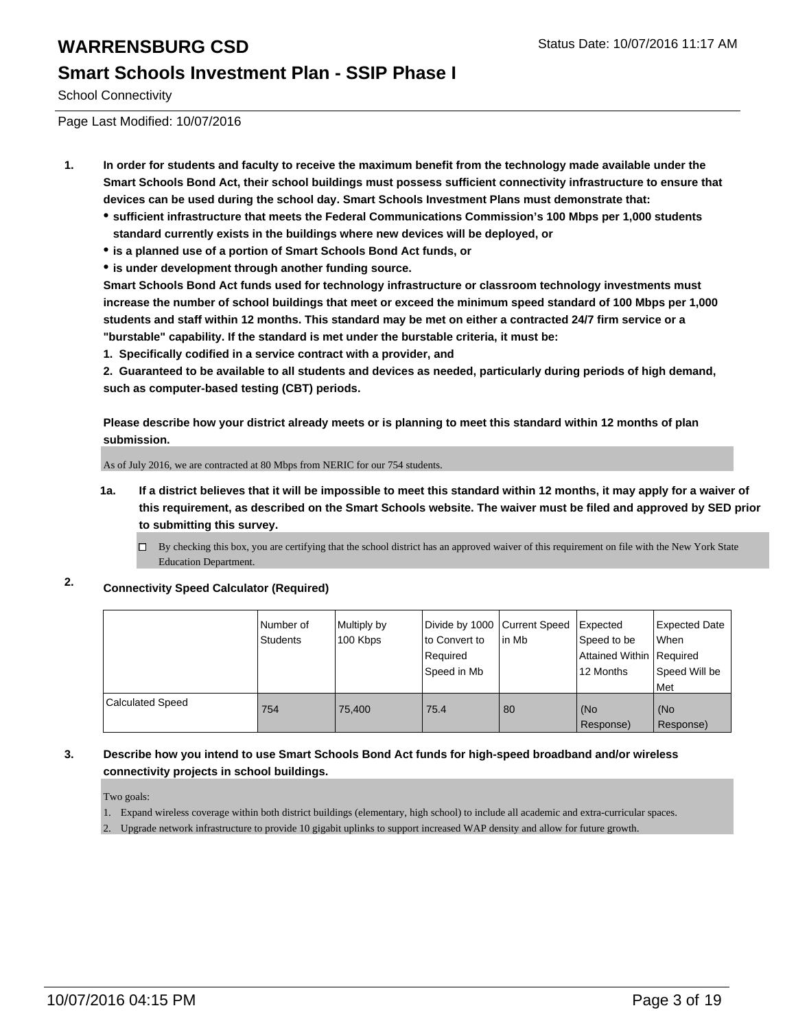#### **Smart Schools Investment Plan - SSIP Phase I**

School Connectivity

Page Last Modified: 10/07/2016

- **1. In order for students and faculty to receive the maximum benefit from the technology made available under the Smart Schools Bond Act, their school buildings must possess sufficient connectivity infrastructure to ensure that devices can be used during the school day. Smart Schools Investment Plans must demonstrate that:**
	- **sufficient infrastructure that meets the Federal Communications Commission's 100 Mbps per 1,000 students standard currently exists in the buildings where new devices will be deployed, or**
	- **is a planned use of a portion of Smart Schools Bond Act funds, or**
	- **is under development through another funding source.**

**Smart Schools Bond Act funds used for technology infrastructure or classroom technology investments must increase the number of school buildings that meet or exceed the minimum speed standard of 100 Mbps per 1,000 students and staff within 12 months. This standard may be met on either a contracted 24/7 firm service or a "burstable" capability. If the standard is met under the burstable criteria, it must be:**

**1. Specifically codified in a service contract with a provider, and**

**2. Guaranteed to be available to all students and devices as needed, particularly during periods of high demand, such as computer-based testing (CBT) periods.**

**Please describe how your district already meets or is planning to meet this standard within 12 months of plan submission.**

As of July 2016, we are contracted at 80 Mbps from NERIC for our 754 students.

- **1a. If a district believes that it will be impossible to meet this standard within 12 months, it may apply for a waiver of this requirement, as described on the Smart Schools website. The waiver must be filed and approved by SED prior to submitting this survey.**
	- $\Box$  By checking this box, you are certifying that the school district has an approved waiver of this requirement on file with the New York State Education Department.

#### **2. Connectivity Speed Calculator (Required)**

|                         | Number of<br>Students | Multiply by<br>100 Kbps | Divide by 1000 Current Speed<br>lto Convert to<br>Required<br>Speed in Mb | lin Mb | Expected<br>Speed to be<br>Attained Within   Required<br>12 Months | Expected Date<br>When<br>Speed Will be<br>l Met |
|-------------------------|-----------------------|-------------------------|---------------------------------------------------------------------------|--------|--------------------------------------------------------------------|-------------------------------------------------|
| <b>Calculated Speed</b> | 754                   | 75.400                  | 75.4                                                                      | 80     | (No<br>Response)                                                   | l (No<br>Response)                              |

#### **3. Describe how you intend to use Smart Schools Bond Act funds for high-speed broadband and/or wireless connectivity projects in school buildings.**

Two goals:

- 1. Expand wireless coverage within both district buildings (elementary, high school) to include all academic and extra-curricular spaces.
- 2. Upgrade network infrastructure to provide 10 gigabit uplinks to support increased WAP density and allow for future growth.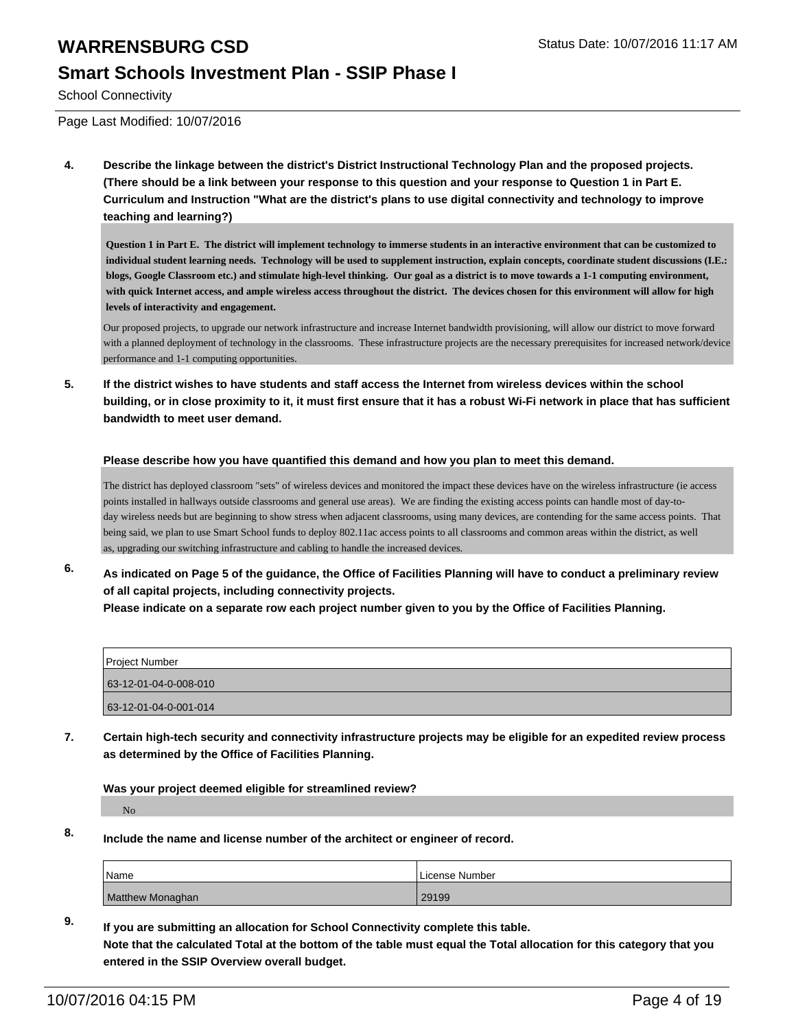#### **Smart Schools Investment Plan - SSIP Phase I**

School Connectivity

Page Last Modified: 10/07/2016

**4. Describe the linkage between the district's District Instructional Technology Plan and the proposed projects. (There should be a link between your response to this question and your response to Question 1 in Part E. Curriculum and Instruction "What are the district's plans to use digital connectivity and technology to improve teaching and learning?)**

**Question 1 in Part E. The district will implement technology to immerse students in an interactive environment that can be customized to individual student learning needs. Technology will be used to supplement instruction, explain concepts, coordinate student discussions (I.E.: blogs, Google Classroom etc.) and stimulate high-level thinking. Our goal as a district is to move towards a 1-1 computing environment, with quick Internet access, and ample wireless access throughout the district. The devices chosen for this environment will allow for high levels of interactivity and engagement.**

Our proposed projects, to upgrade our network infrastructure and increase Internet bandwidth provisioning, will allow our district to move forward with a planned deployment of technology in the classrooms. These infrastructure projects are the necessary prerequisites for increased network/device performance and 1-1 computing opportunities.

**5. If the district wishes to have students and staff access the Internet from wireless devices within the school building, or in close proximity to it, it must first ensure that it has a robust Wi-Fi network in place that has sufficient bandwidth to meet user demand.**

#### **Please describe how you have quantified this demand and how you plan to meet this demand.**

The district has deployed classroom "sets" of wireless devices and monitored the impact these devices have on the wireless infrastructure (ie access points installed in hallways outside classrooms and general use areas). We are finding the existing access points can handle most of day-today wireless needs but are beginning to show stress when adjacent classrooms, using many devices, are contending for the same access points. That being said, we plan to use Smart School funds to deploy 802.11ac access points to all classrooms and common areas within the district, as well as, upgrading our switching infrastructure and cabling to handle the increased devices.

**6. As indicated on Page 5 of the guidance, the Office of Facilities Planning will have to conduct a preliminary review of all capital projects, including connectivity projects. Please indicate on a separate row each project number given to you by the Office of Facilities Planning.**

| Project Number        |  |
|-----------------------|--|
| 63-12-01-04-0-008-010 |  |
| 63-12-01-04-0-001-014 |  |

**7. Certain high-tech security and connectivity infrastructure projects may be eligible for an expedited review process as determined by the Office of Facilities Planning.**

**Was your project deemed eligible for streamlined review?**

No

**8. Include the name and license number of the architect or engineer of record.**

| <sup>1</sup> Name       | License Number |
|-------------------------|----------------|
| <b>Matthew Monaghan</b> | 29199          |

**9. If you are submitting an allocation for School Connectivity complete this table. Note that the calculated Total at the bottom of the table must equal the Total allocation for this category that you entered in the SSIP Overview overall budget.**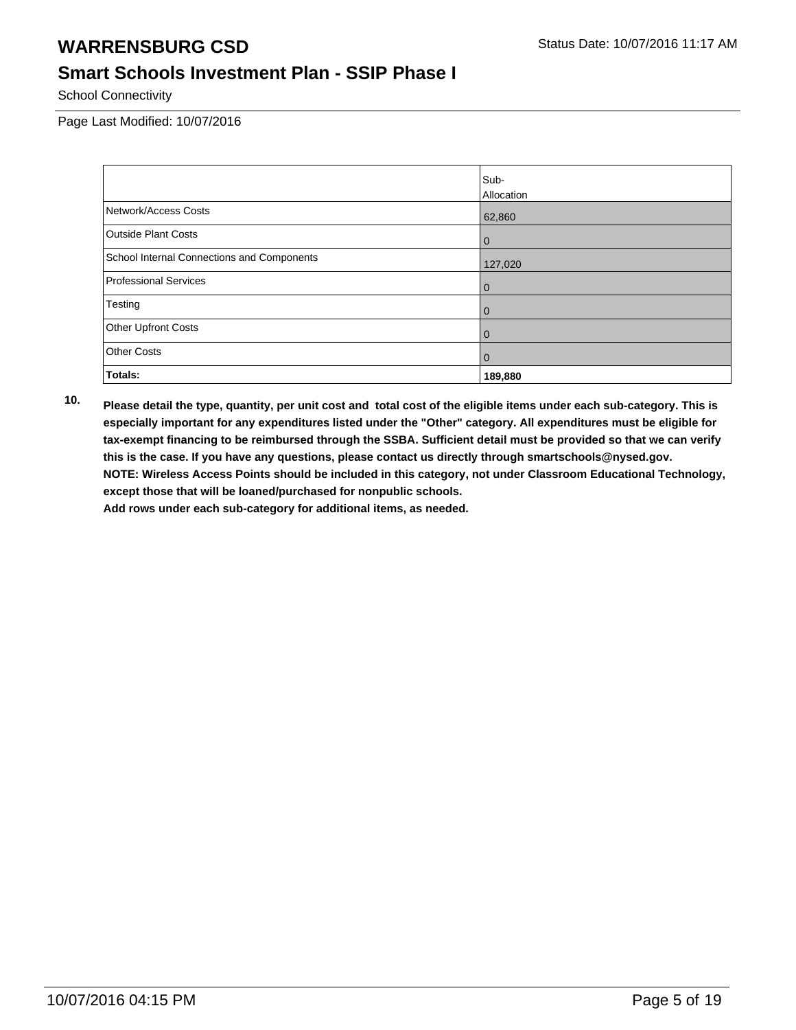### **Smart Schools Investment Plan - SSIP Phase I**

School Connectivity

Page Last Modified: 10/07/2016

|                                            | Sub-           |
|--------------------------------------------|----------------|
|                                            | Allocation     |
| Network/Access Costs                       | 62,860         |
| <b>Outside Plant Costs</b>                 | $\overline{0}$ |
| School Internal Connections and Components | 127,020        |
| Professional Services                      | 0              |
| Testing                                    | $\overline{0}$ |
| Other Upfront Costs                        | $\overline{0}$ |
| <b>Other Costs</b>                         | $\overline{0}$ |
| Totals:                                    | 189,880        |

**10. Please detail the type, quantity, per unit cost and total cost of the eligible items under each sub-category. This is especially important for any expenditures listed under the "Other" category. All expenditures must be eligible for tax-exempt financing to be reimbursed through the SSBA. Sufficient detail must be provided so that we can verify this is the case. If you have any questions, please contact us directly through smartschools@nysed.gov. NOTE: Wireless Access Points should be included in this category, not under Classroom Educational Technology, except those that will be loaned/purchased for nonpublic schools.**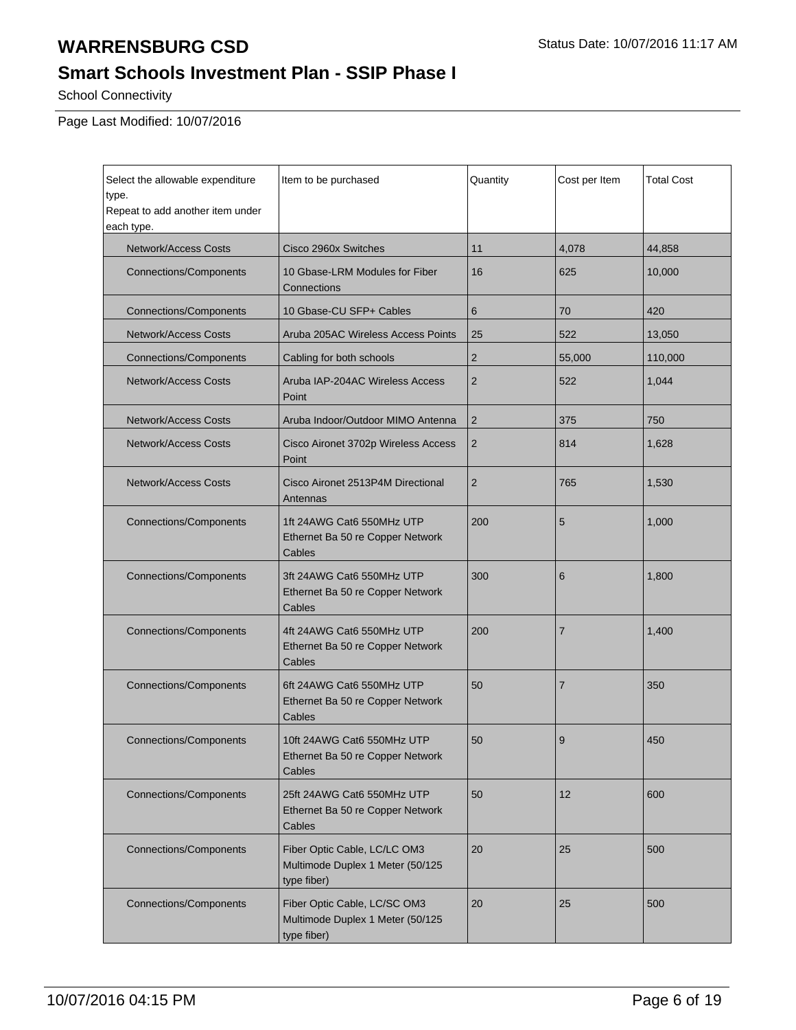## **Smart Schools Investment Plan - SSIP Phase I**

School Connectivity

Page Last Modified: 10/07/2016

| Select the allowable expenditure<br>type.<br>Repeat to add another item under<br>each type. | Item to be purchased                                                            | Quantity       | Cost per Item  | <b>Total Cost</b> |
|---------------------------------------------------------------------------------------------|---------------------------------------------------------------------------------|----------------|----------------|-------------------|
| <b>Network/Access Costs</b>                                                                 | Cisco 2960x Switches                                                            | 11             | 4,078          | 44,858            |
| <b>Connections/Components</b>                                                               | 10 Gbase-LRM Modules for Fiber<br>Connections                                   | 16             | 625            | 10,000            |
| <b>Connections/Components</b>                                                               | 10 Gbase-CU SFP+ Cables                                                         | 6              | 70             | 420               |
| <b>Network/Access Costs</b>                                                                 | Aruba 205AC Wireless Access Points                                              | 25             | 522            | 13,050            |
| <b>Connections/Components</b>                                                               | Cabling for both schools                                                        | $\overline{2}$ | 55,000         | 110,000           |
| <b>Network/Access Costs</b>                                                                 | Aruba IAP-204AC Wireless Access<br>Point                                        | $\overline{2}$ | 522            | 1,044             |
| <b>Network/Access Costs</b>                                                                 | Aruba Indoor/Outdoor MIMO Antenna                                               | $\overline{2}$ | 375            | 750               |
| <b>Network/Access Costs</b>                                                                 | Cisco Aironet 3702p Wireless Access<br>Point                                    | $\overline{2}$ | 814            | 1.628             |
| Network/Access Costs                                                                        | Cisco Aironet 2513P4M Directional<br>Antennas                                   | $\overline{2}$ | 765            | 1,530             |
| <b>Connections/Components</b>                                                               | 1ft 24AWG Cat6 550MHz UTP<br>Ethernet Ba 50 re Copper Network<br>Cables         | 200            | 5              | 1,000             |
| <b>Connections/Components</b>                                                               | 3ft 24AWG Cat6 550MHz UTP<br>Ethernet Ba 50 re Copper Network<br>Cables         | 300            | 6              | 1,800             |
| <b>Connections/Components</b>                                                               | 4ft 24AWG Cat6 550MHz UTP<br>Ethernet Ba 50 re Copper Network<br>Cables         | 200            | $\overline{7}$ | 1,400             |
| <b>Connections/Components</b>                                                               | 6ft 24AWG Cat6 550MHz UTP<br>Ethernet Ba 50 re Copper Network<br>Cables         | 50             | $\overline{7}$ | 350               |
| <b>Connections/Components</b>                                                               | 10ft 24AWG Cat6 550MHz UTP<br>Ethernet Ba 50 re Copper Network<br>Cables        | 50             | 9              | 450               |
| <b>Connections/Components</b>                                                               | 25ft 24AWG Cat6 550MHz UTP<br>Ethernet Ba 50 re Copper Network<br>Cables        | 50             | 12             | 600               |
| <b>Connections/Components</b>                                                               | Fiber Optic Cable, LC/LC OM3<br>Multimode Duplex 1 Meter (50/125<br>type fiber) | 20             | 25             | 500               |
| <b>Connections/Components</b>                                                               | Fiber Optic Cable, LC/SC OM3<br>Multimode Duplex 1 Meter (50/125<br>type fiber) | 20             | 25             | 500               |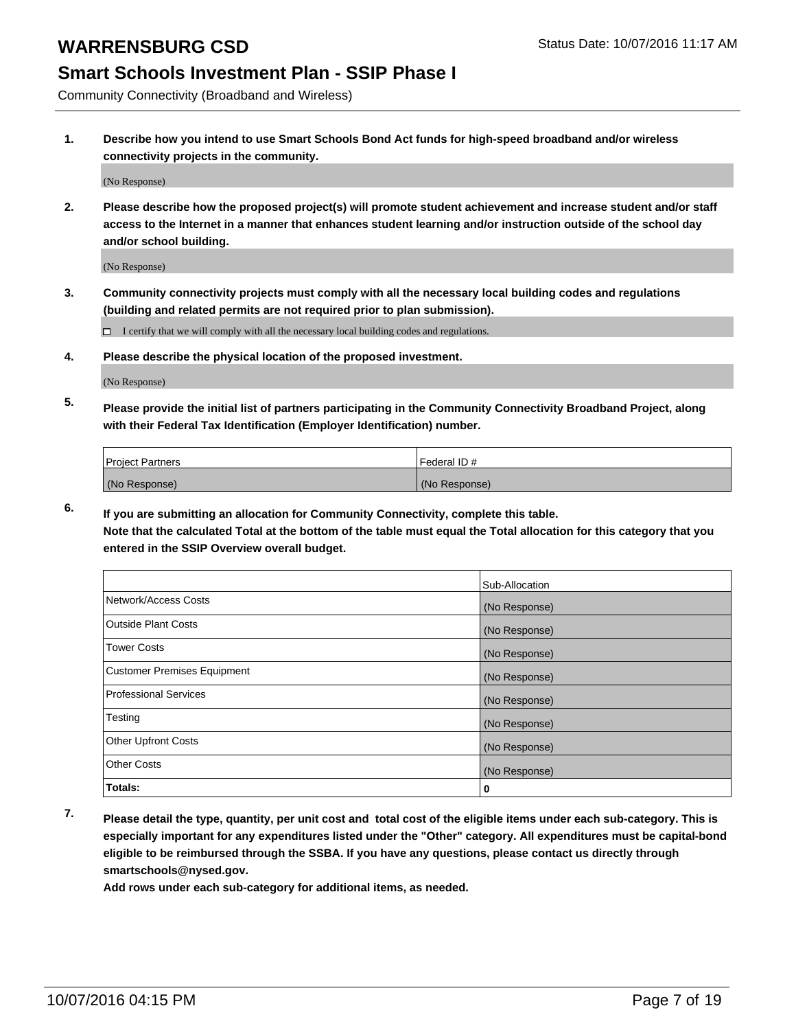### **Smart Schools Investment Plan - SSIP Phase I**

Community Connectivity (Broadband and Wireless)

**1. Describe how you intend to use Smart Schools Bond Act funds for high-speed broadband and/or wireless connectivity projects in the community.**

(No Response)

**2. Please describe how the proposed project(s) will promote student achievement and increase student and/or staff access to the Internet in a manner that enhances student learning and/or instruction outside of the school day and/or school building.**

(No Response)

**3. Community connectivity projects must comply with all the necessary local building codes and regulations (building and related permits are not required prior to plan submission).**

 $\Box$  I certify that we will comply with all the necessary local building codes and regulations.

**4. Please describe the physical location of the proposed investment.**

(No Response)

**5. Please provide the initial list of partners participating in the Community Connectivity Broadband Project, along with their Federal Tax Identification (Employer Identification) number.**

| <b>Project Partners</b> | Federal ID#   |
|-------------------------|---------------|
| (No Response)           | (No Response) |

**6. If you are submitting an allocation for Community Connectivity, complete this table.**

**Note that the calculated Total at the bottom of the table must equal the Total allocation for this category that you entered in the SSIP Overview overall budget.**

|                                    | Sub-Allocation |
|------------------------------------|----------------|
| Network/Access Costs               | (No Response)  |
| Outside Plant Costs                | (No Response)  |
| <b>Tower Costs</b>                 | (No Response)  |
| <b>Customer Premises Equipment</b> | (No Response)  |
| Professional Services              | (No Response)  |
| Testing                            | (No Response)  |
| Other Upfront Costs                | (No Response)  |
| Other Costs                        | (No Response)  |
| Totals:                            | υ              |

**7. Please detail the type, quantity, per unit cost and total cost of the eligible items under each sub-category. This is especially important for any expenditures listed under the "Other" category. All expenditures must be capital-bond eligible to be reimbursed through the SSBA. If you have any questions, please contact us directly through smartschools@nysed.gov.**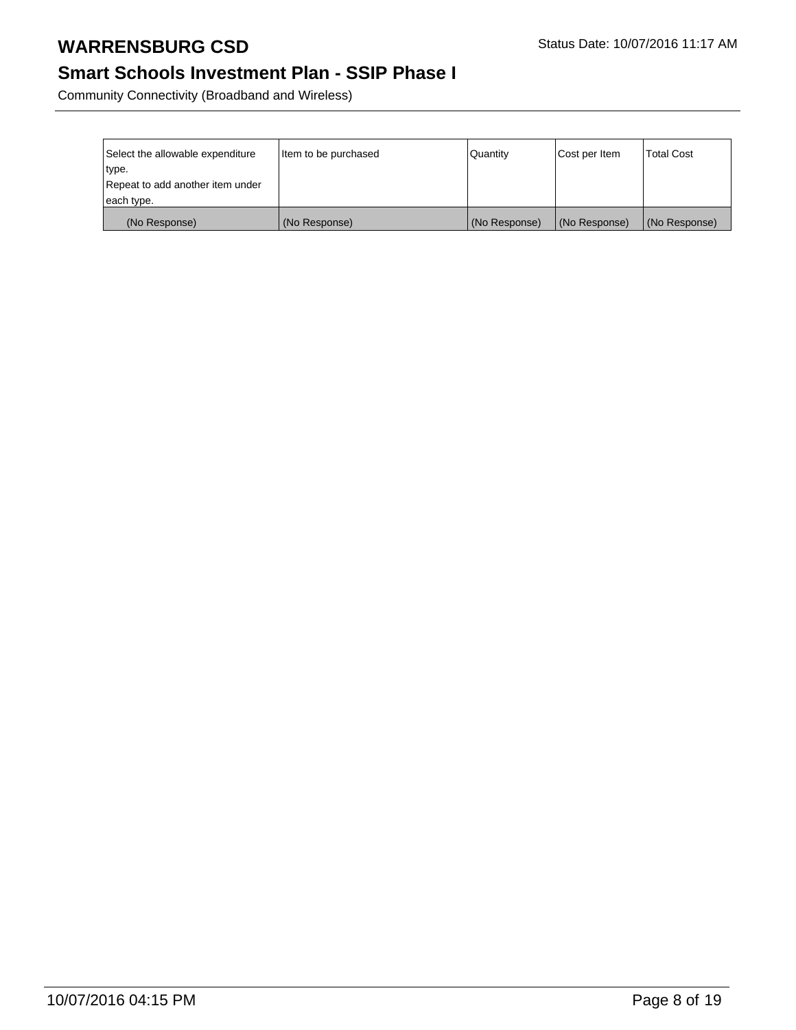### **Smart Schools Investment Plan - SSIP Phase I**

Community Connectivity (Broadband and Wireless)

| Select the allowable expenditure | Item to be purchased | l Quantitv    | Cost per Item | <b>Total Cost</b> |
|----------------------------------|----------------------|---------------|---------------|-------------------|
| type.                            |                      |               |               |                   |
| Repeat to add another item under |                      |               |               |                   |
| each type.                       |                      |               |               |                   |
| (No Response)                    | (No Response)        | (No Response) | (No Response) | (No Response)     |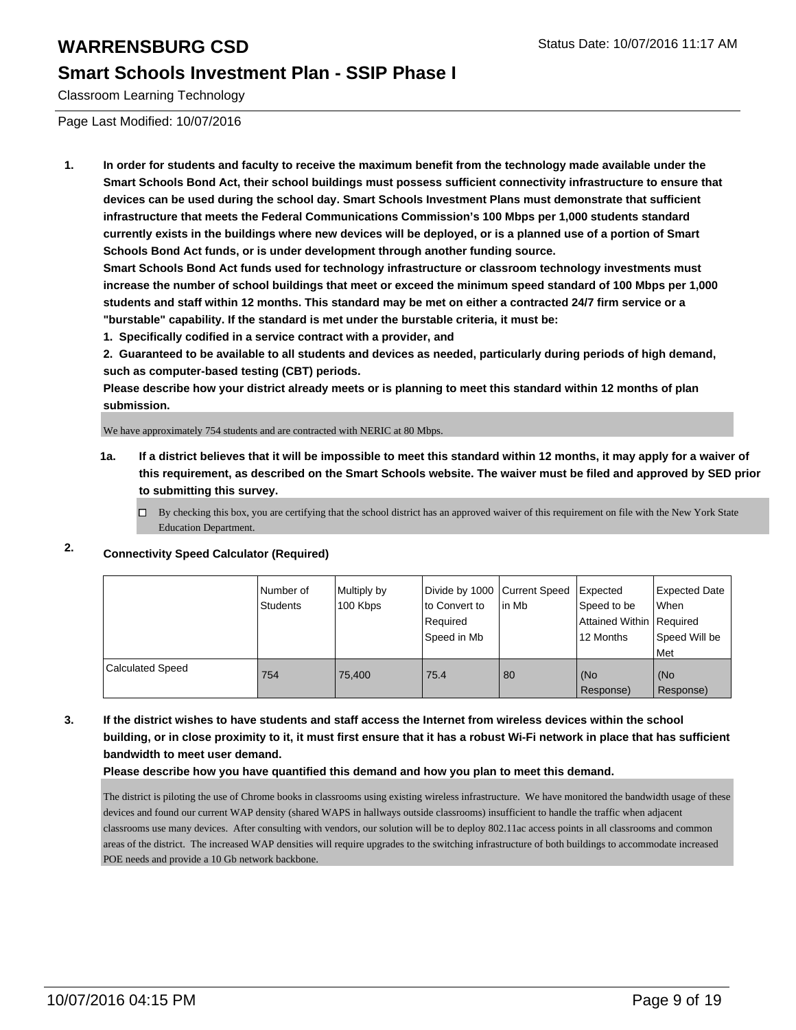#### **Smart Schools Investment Plan - SSIP Phase I**

Classroom Learning Technology

Page Last Modified: 10/07/2016

**1. In order for students and faculty to receive the maximum benefit from the technology made available under the Smart Schools Bond Act, their school buildings must possess sufficient connectivity infrastructure to ensure that devices can be used during the school day. Smart Schools Investment Plans must demonstrate that sufficient infrastructure that meets the Federal Communications Commission's 100 Mbps per 1,000 students standard currently exists in the buildings where new devices will be deployed, or is a planned use of a portion of Smart Schools Bond Act funds, or is under development through another funding source.**

**Smart Schools Bond Act funds used for technology infrastructure or classroom technology investments must increase the number of school buildings that meet or exceed the minimum speed standard of 100 Mbps per 1,000 students and staff within 12 months. This standard may be met on either a contracted 24/7 firm service or a "burstable" capability. If the standard is met under the burstable criteria, it must be:**

**1. Specifically codified in a service contract with a provider, and**

**2. Guaranteed to be available to all students and devices as needed, particularly during periods of high demand, such as computer-based testing (CBT) periods.**

**Please describe how your district already meets or is planning to meet this standard within 12 months of plan submission.**

We have approximately 754 students and are contracted with NERIC at 80 Mbps.

- **1a. If a district believes that it will be impossible to meet this standard within 12 months, it may apply for a waiver of this requirement, as described on the Smart Schools website. The waiver must be filed and approved by SED prior to submitting this survey.**
	- $\Box$  By checking this box, you are certifying that the school district has an approved waiver of this requirement on file with the New York State Education Department.

### **2. Connectivity Speed Calculator (Required)**

|                         | Number of<br>Students | Multiply by<br>100 Kbps | Divide by 1000 Current Speed<br>to Convert to<br>Required<br>Speed in Mb | lin Mb | Expected<br>Speed to be<br>Attained Within Required<br>12 Months | <b>Expected Date</b><br>When<br>Speed Will be<br>l Met |
|-------------------------|-----------------------|-------------------------|--------------------------------------------------------------------------|--------|------------------------------------------------------------------|--------------------------------------------------------|
| <b>Calculated Speed</b> | 754                   | 75.400                  | 75.4                                                                     | 80     | (No<br>Response)                                                 | l (No<br>Response)                                     |

**3. If the district wishes to have students and staff access the Internet from wireless devices within the school building, or in close proximity to it, it must first ensure that it has a robust Wi-Fi network in place that has sufficient bandwidth to meet user demand.**

**Please describe how you have quantified this demand and how you plan to meet this demand.**

The district is piloting the use of Chrome books in classrooms using existing wireless infrastructure. We have monitored the bandwidth usage of these devices and found our current WAP density (shared WAPS in hallways outside classrooms) insufficient to handle the traffic when adjacent classrooms use many devices. After consulting with vendors, our solution will be to deploy 802.11ac access points in all classrooms and common areas of the district. The increased WAP densities will require upgrades to the switching infrastructure of both buildings to accommodate increased POE needs and provide a 10 Gb network backbone.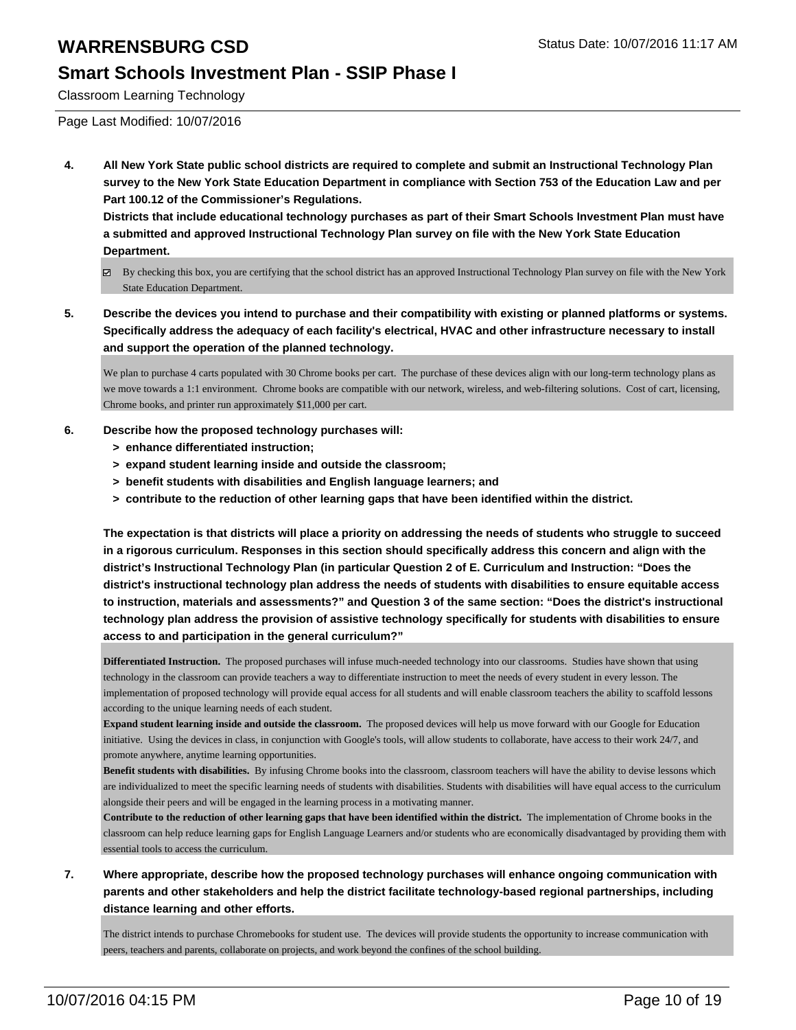### **Smart Schools Investment Plan - SSIP Phase I**

Classroom Learning Technology

Page Last Modified: 10/07/2016

**4. All New York State public school districts are required to complete and submit an Instructional Technology Plan survey to the New York State Education Department in compliance with Section 753 of the Education Law and per Part 100.12 of the Commissioner's Regulations.**

**Districts that include educational technology purchases as part of their Smart Schools Investment Plan must have a submitted and approved Instructional Technology Plan survey on file with the New York State Education Department.**

- By checking this box, you are certifying that the school district has an approved Instructional Technology Plan survey on file with the New York State Education Department.
- **5. Describe the devices you intend to purchase and their compatibility with existing or planned platforms or systems. Specifically address the adequacy of each facility's electrical, HVAC and other infrastructure necessary to install and support the operation of the planned technology.**

We plan to purchase 4 carts populated with 30 Chrome books per cart. The purchase of these devices align with our long-term technology plans as we move towards a 1:1 environment. Chrome books are compatible with our network, wireless, and web-filtering solutions. Cost of cart, licensing, Chrome books, and printer run approximately \$11,000 per cart.

- **6. Describe how the proposed technology purchases will:**
	- **> enhance differentiated instruction;**
	- **> expand student learning inside and outside the classroom;**
	- **> benefit students with disabilities and English language learners; and**
	- **> contribute to the reduction of other learning gaps that have been identified within the district.**

**The expectation is that districts will place a priority on addressing the needs of students who struggle to succeed in a rigorous curriculum. Responses in this section should specifically address this concern and align with the district's Instructional Technology Plan (in particular Question 2 of E. Curriculum and Instruction: "Does the district's instructional technology plan address the needs of students with disabilities to ensure equitable access to instruction, materials and assessments?" and Question 3 of the same section: "Does the district's instructional technology plan address the provision of assistive technology specifically for students with disabilities to ensure access to and participation in the general curriculum?"**

**Differentiated Instruction.** The proposed purchases will infuse much-needed technology into our classrooms. Studies have shown that using technology in the classroom can provide teachers a way to differentiate instruction to meet the needs of every student in every lesson. The implementation of proposed technology will provide equal access for all students and will enable classroom teachers the ability to scaffold lessons according to the unique learning needs of each student.

**Expand student learning inside and outside the classroom.** The proposed devices will help us move forward with our Google for Education initiative. Using the devices in class, in conjunction with Google's tools, will allow students to collaborate, have access to their work 24/7, and promote anywhere, anytime learning opportunities.

**Benefit students with disabilities.** By infusing Chrome books into the classroom, classroom teachers will have the ability to devise lessons which are individualized to meet the specific learning needs of students with disabilities. Students with disabilities will have equal access to the curriculum alongside their peers and will be engaged in the learning process in a motivating manner.

**Contribute to the reduction of other learning gaps that have been identified within the district.** The implementation of Chrome books in the classroom can help reduce learning gaps for English Language Learners and/or students who are economically disadvantaged by providing them with essential tools to access the curriculum.

**7. Where appropriate, describe how the proposed technology purchases will enhance ongoing communication with parents and other stakeholders and help the district facilitate technology-based regional partnerships, including distance learning and other efforts.**

The district intends to purchase Chromebooks for student use. The devices will provide students the opportunity to increase communication with peers, teachers and parents, collaborate on projects, and work beyond the confines of the school building.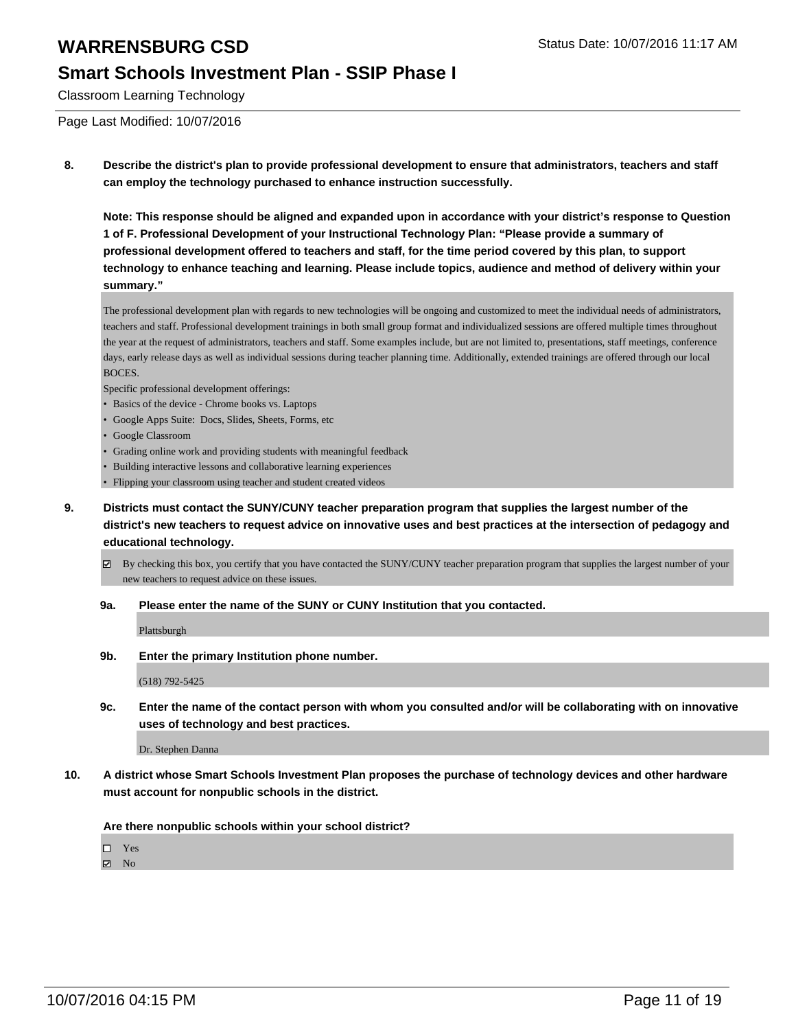### **Smart Schools Investment Plan - SSIP Phase I**

Classroom Learning Technology

Page Last Modified: 10/07/2016

**8. Describe the district's plan to provide professional development to ensure that administrators, teachers and staff can employ the technology purchased to enhance instruction successfully.**

**Note: This response should be aligned and expanded upon in accordance with your district's response to Question 1 of F. Professional Development of your Instructional Technology Plan: "Please provide a summary of professional development offered to teachers and staff, for the time period covered by this plan, to support technology to enhance teaching and learning. Please include topics, audience and method of delivery within your summary."**

The professional development plan with regards to new technologies will be ongoing and customized to meet the individual needs of administrators, teachers and staff. Professional development trainings in both small group format and individualized sessions are offered multiple times throughout the year at the request of administrators, teachers and staff. Some examples include, but are not limited to, presentations, staff meetings, conference days, early release days as well as individual sessions during teacher planning time. Additionally, extended trainings are offered through our local BOCES.

Specific professional development offerings:

- Basics of the device Chrome books vs. Laptops
- Google Apps Suite: Docs, Slides, Sheets, Forms, etc
- Google Classroom
- Grading online work and providing students with meaningful feedback
- Building interactive lessons and collaborative learning experiences
- Flipping your classroom using teacher and student created videos
- **9. Districts must contact the SUNY/CUNY teacher preparation program that supplies the largest number of the district's new teachers to request advice on innovative uses and best practices at the intersection of pedagogy and educational technology.**
	- By checking this box, you certify that you have contacted the SUNY/CUNY teacher preparation program that supplies the largest number of your new teachers to request advice on these issues.
	- **9a. Please enter the name of the SUNY or CUNY Institution that you contacted.**

Plattsburgh

**9b. Enter the primary Institution phone number.**

(518) 792-5425

**9c. Enter the name of the contact person with whom you consulted and/or will be collaborating with on innovative uses of technology and best practices.**

Dr. Stephen Danna

**10. A district whose Smart Schools Investment Plan proposes the purchase of technology devices and other hardware must account for nonpublic schools in the district.**

**Are there nonpublic schools within your school district?**

□ Yes

 $\boxtimes$  No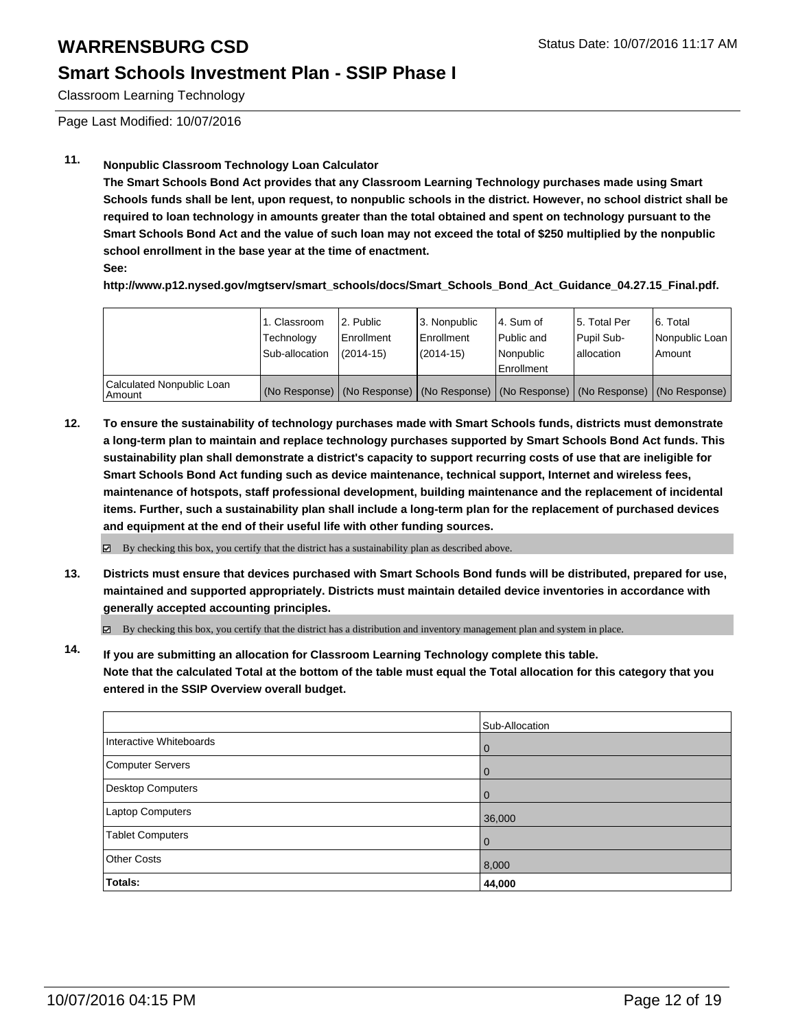#### **Smart Schools Investment Plan - SSIP Phase I**

Classroom Learning Technology

Page Last Modified: 10/07/2016

### **11. Nonpublic Classroom Technology Loan Calculator**

**The Smart Schools Bond Act provides that any Classroom Learning Technology purchases made using Smart Schools funds shall be lent, upon request, to nonpublic schools in the district. However, no school district shall be required to loan technology in amounts greater than the total obtained and spent on technology pursuant to the Smart Schools Bond Act and the value of such loan may not exceed the total of \$250 multiplied by the nonpublic school enrollment in the base year at the time of enactment.**

**See:**

**http://www.p12.nysed.gov/mgtserv/smart\_schools/docs/Smart\_Schools\_Bond\_Act\_Guidance\_04.27.15\_Final.pdf.**

|                                     | 1. Classroom<br>Technology<br>Sub-allocation | 2. Public<br><b>Enrollment</b><br>$(2014 - 15)$ | 3. Nonpublic<br>Enrollment<br>$(2014-15)$                                                     | l 4. Sum of<br>l Public and<br>Nonpublic<br>Enrollment | 5. Total Per<br>Pupil Sub-<br>lallocation | 6. Total<br>Nonpublic Loan<br>Amount |
|-------------------------------------|----------------------------------------------|-------------------------------------------------|-----------------------------------------------------------------------------------------------|--------------------------------------------------------|-------------------------------------------|--------------------------------------|
| Calculated Nonpublic Loan<br>Amount |                                              |                                                 | (No Response)   (No Response)   (No Response)   (No Response)   (No Response)   (No Response) |                                                        |                                           |                                      |

**12. To ensure the sustainability of technology purchases made with Smart Schools funds, districts must demonstrate a long-term plan to maintain and replace technology purchases supported by Smart Schools Bond Act funds. This sustainability plan shall demonstrate a district's capacity to support recurring costs of use that are ineligible for Smart Schools Bond Act funding such as device maintenance, technical support, Internet and wireless fees, maintenance of hotspots, staff professional development, building maintenance and the replacement of incidental items. Further, such a sustainability plan shall include a long-term plan for the replacement of purchased devices and equipment at the end of their useful life with other funding sources.**

 $\boxtimes$  By checking this box, you certify that the district has a sustainability plan as described above.

**13. Districts must ensure that devices purchased with Smart Schools Bond funds will be distributed, prepared for use, maintained and supported appropriately. Districts must maintain detailed device inventories in accordance with generally accepted accounting principles.**

By checking this box, you certify that the district has a distribution and inventory management plan and system in place.

**14. If you are submitting an allocation for Classroom Learning Technology complete this table. Note that the calculated Total at the bottom of the table must equal the Total allocation for this category that you entered in the SSIP Overview overall budget.**

|                         | Sub-Allocation |
|-------------------------|----------------|
| Interactive Whiteboards | $\Omega$       |
| Computer Servers        |                |
| Desktop Computers       | O              |
| Laptop Computers        | 36,000         |
| Tablet Computers        | 0              |
| <b>Other Costs</b>      | 8,000          |
| Totals:                 | 44,000         |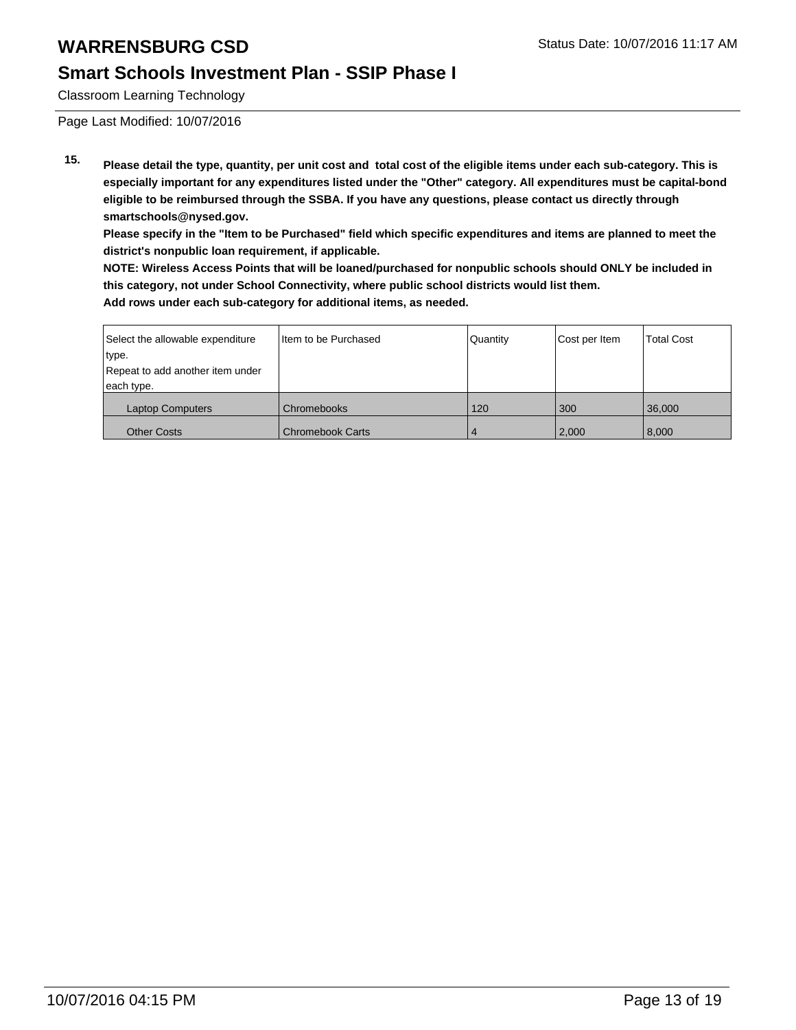### **Smart Schools Investment Plan - SSIP Phase I**

Classroom Learning Technology

Page Last Modified: 10/07/2016

**15. Please detail the type, quantity, per unit cost and total cost of the eligible items under each sub-category. This is especially important for any expenditures listed under the "Other" category. All expenditures must be capital-bond eligible to be reimbursed through the SSBA. If you have any questions, please contact us directly through smartschools@nysed.gov.**

**Please specify in the "Item to be Purchased" field which specific expenditures and items are planned to meet the district's nonpublic loan requirement, if applicable.**

**NOTE: Wireless Access Points that will be loaned/purchased for nonpublic schools should ONLY be included in this category, not under School Connectivity, where public school districts would list them. Add rows under each sub-category for additional items, as needed.**

| Select the allowable expenditure | Item to be Purchased    | Quantity | Cost per Item | <b>Total Cost</b> |
|----------------------------------|-------------------------|----------|---------------|-------------------|
| type.                            |                         |          |               |                   |
| Repeat to add another item under |                         |          |               |                   |
| each type.                       |                         |          |               |                   |
| <b>Laptop Computers</b>          | Chromebooks             | 120      | 300           | 36,000            |
| <b>Other Costs</b>               | <b>Chromebook Carts</b> | 4        | 2,000         | 8,000             |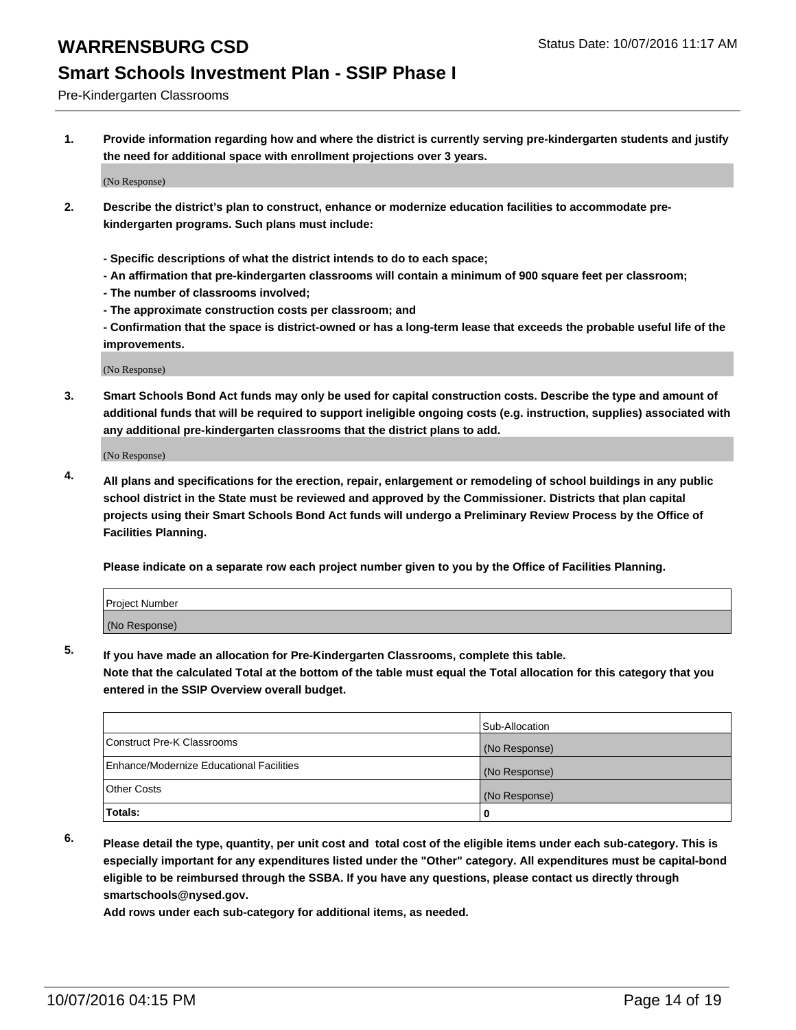### **Smart Schools Investment Plan - SSIP Phase I**

Pre-Kindergarten Classrooms

**1. Provide information regarding how and where the district is currently serving pre-kindergarten students and justify the need for additional space with enrollment projections over 3 years.**

(No Response)

- **2. Describe the district's plan to construct, enhance or modernize education facilities to accommodate prekindergarten programs. Such plans must include:**
	- **Specific descriptions of what the district intends to do to each space;**
	- **An affirmation that pre-kindergarten classrooms will contain a minimum of 900 square feet per classroom;**
	- **The number of classrooms involved;**
	- **The approximate construction costs per classroom; and**
	- **Confirmation that the space is district-owned or has a long-term lease that exceeds the probable useful life of the improvements.**

(No Response)

**3. Smart Schools Bond Act funds may only be used for capital construction costs. Describe the type and amount of additional funds that will be required to support ineligible ongoing costs (e.g. instruction, supplies) associated with any additional pre-kindergarten classrooms that the district plans to add.**

(No Response)

**4. All plans and specifications for the erection, repair, enlargement or remodeling of school buildings in any public school district in the State must be reviewed and approved by the Commissioner. Districts that plan capital projects using their Smart Schools Bond Act funds will undergo a Preliminary Review Process by the Office of Facilities Planning.**

**Please indicate on a separate row each project number given to you by the Office of Facilities Planning.**

| <b>Project Number</b> |  |
|-----------------------|--|
| (No Response)         |  |

**5. If you have made an allocation for Pre-Kindergarten Classrooms, complete this table.**

**Note that the calculated Total at the bottom of the table must equal the Total allocation for this category that you entered in the SSIP Overview overall budget.**

|                                          | Sub-Allocation |
|------------------------------------------|----------------|
| Construct Pre-K Classrooms               | (No Response)  |
| Enhance/Modernize Educational Facilities | (No Response)  |
| Other Costs                              | (No Response)  |
| Totals:                                  | 0              |

**6. Please detail the type, quantity, per unit cost and total cost of the eligible items under each sub-category. This is especially important for any expenditures listed under the "Other" category. All expenditures must be capital-bond eligible to be reimbursed through the SSBA. If you have any questions, please contact us directly through smartschools@nysed.gov.**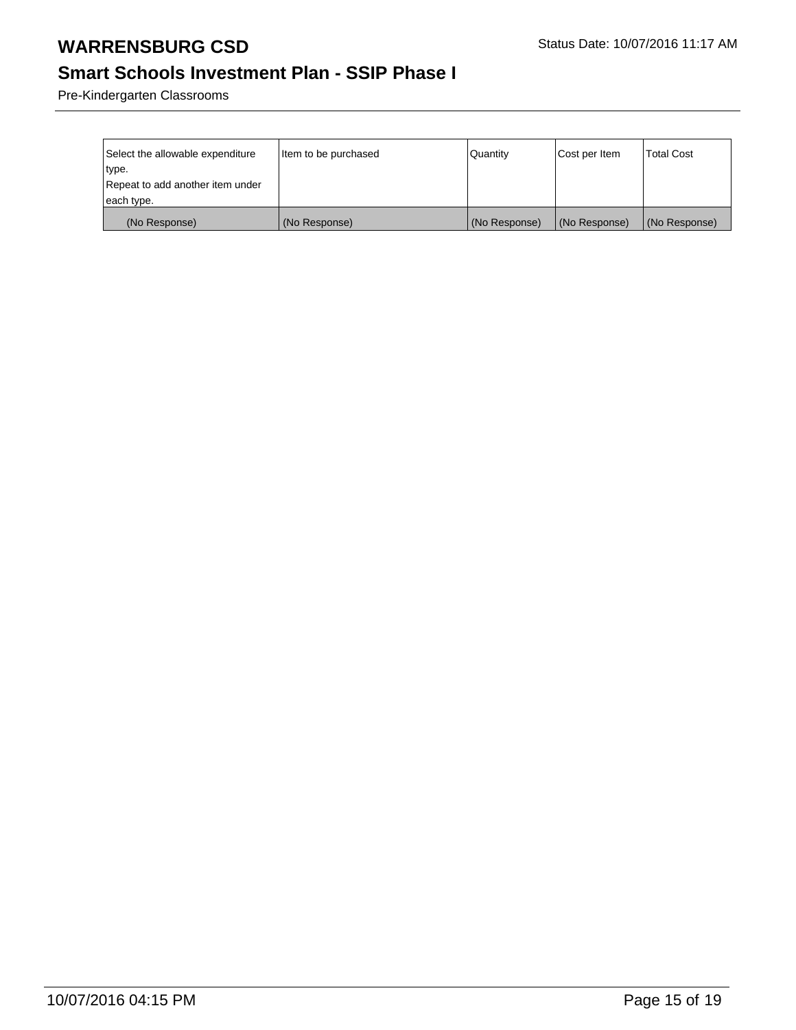# **Smart Schools Investment Plan - SSIP Phase I**

Pre-Kindergarten Classrooms

| Select the allowable expenditure | Item to be purchased | Quantity      | Cost per Item | <b>Total Cost</b> |
|----------------------------------|----------------------|---------------|---------------|-------------------|
| ∣type.                           |                      |               |               |                   |
| Repeat to add another item under |                      |               |               |                   |
| each type.                       |                      |               |               |                   |
| (No Response)                    | (No Response)        | (No Response) | (No Response) | (No Response)     |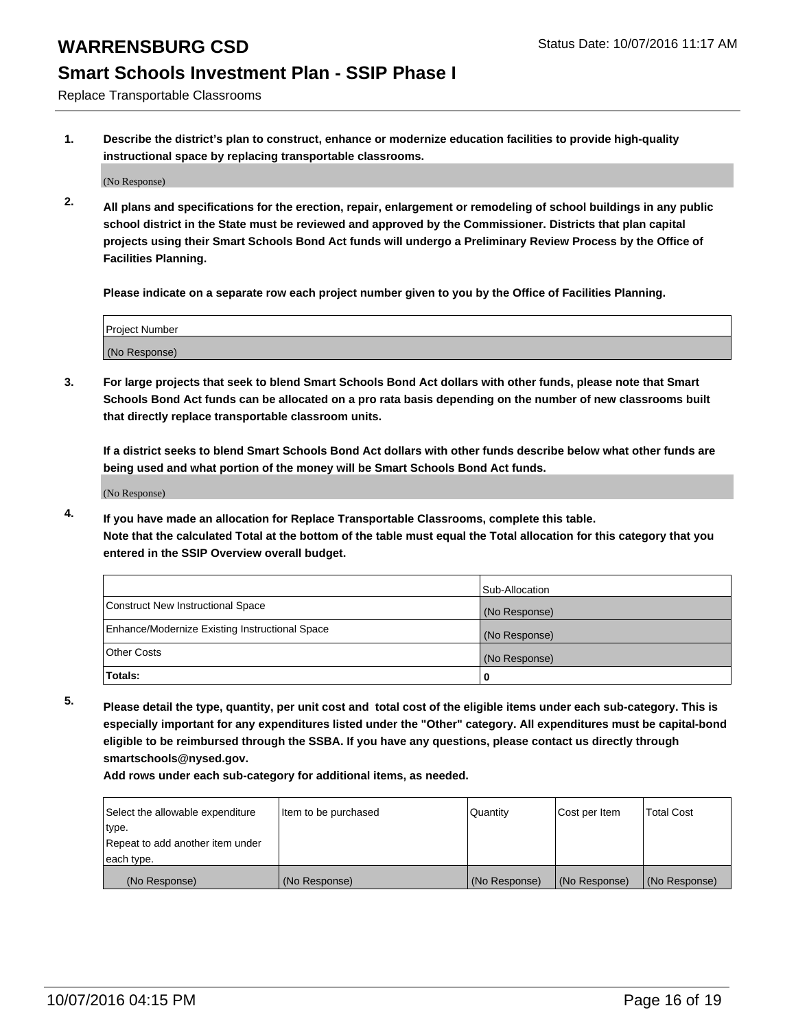### **Smart Schools Investment Plan - SSIP Phase I**

Replace Transportable Classrooms

**1. Describe the district's plan to construct, enhance or modernize education facilities to provide high-quality instructional space by replacing transportable classrooms.**

(No Response)

**2. All plans and specifications for the erection, repair, enlargement or remodeling of school buildings in any public school district in the State must be reviewed and approved by the Commissioner. Districts that plan capital projects using their Smart Schools Bond Act funds will undergo a Preliminary Review Process by the Office of Facilities Planning.**

**Please indicate on a separate row each project number given to you by the Office of Facilities Planning.**

| Project Number |  |
|----------------|--|
| (No Response)  |  |

**3. For large projects that seek to blend Smart Schools Bond Act dollars with other funds, please note that Smart Schools Bond Act funds can be allocated on a pro rata basis depending on the number of new classrooms built that directly replace transportable classroom units.**

**If a district seeks to blend Smart Schools Bond Act dollars with other funds describe below what other funds are being used and what portion of the money will be Smart Schools Bond Act funds.**

(No Response)

**4. If you have made an allocation for Replace Transportable Classrooms, complete this table. Note that the calculated Total at the bottom of the table must equal the Total allocation for this category that you entered in the SSIP Overview overall budget.**

|                                                | Sub-Allocation |
|------------------------------------------------|----------------|
| Construct New Instructional Space              | (No Response)  |
| Enhance/Modernize Existing Instructional Space | (No Response)  |
| Other Costs                                    | (No Response)  |
| Totals:                                        | 0              |

**5. Please detail the type, quantity, per unit cost and total cost of the eligible items under each sub-category. This is especially important for any expenditures listed under the "Other" category. All expenditures must be capital-bond eligible to be reimbursed through the SSBA. If you have any questions, please contact us directly through smartschools@nysed.gov.**

| Select the allowable expenditure | Item to be purchased | Quantity      | Cost per Item | <b>Total Cost</b> |
|----------------------------------|----------------------|---------------|---------------|-------------------|
| type.                            |                      |               |               |                   |
| Repeat to add another item under |                      |               |               |                   |
| each type.                       |                      |               |               |                   |
| (No Response)                    | (No Response)        | (No Response) | (No Response) | (No Response)     |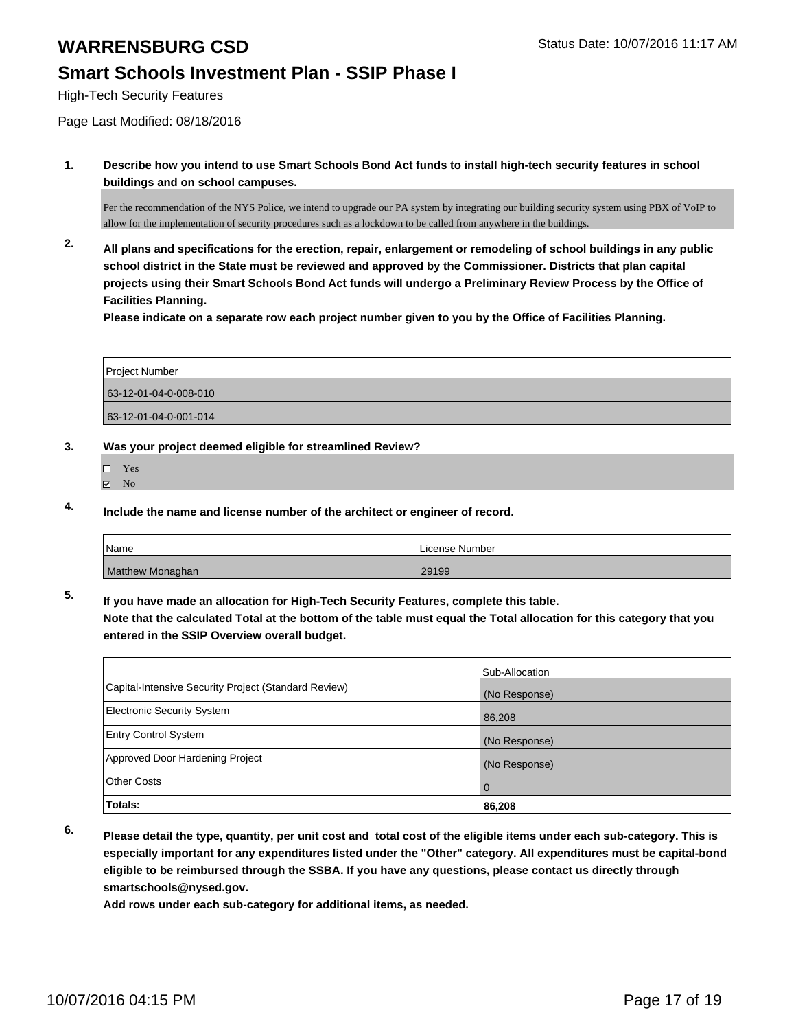### **Smart Schools Investment Plan - SSIP Phase I**

High-Tech Security Features

Page Last Modified: 08/18/2016

**1. Describe how you intend to use Smart Schools Bond Act funds to install high-tech security features in school buildings and on school campuses.**

Per the recommendation of the NYS Police, we intend to upgrade our PA system by integrating our building security system using PBX of VoIP to allow for the implementation of security procedures such as a lockdown to be called from anywhere in the buildings.

**2. All plans and specifications for the erection, repair, enlargement or remodeling of school buildings in any public school district in the State must be reviewed and approved by the Commissioner. Districts that plan capital projects using their Smart Schools Bond Act funds will undergo a Preliminary Review Process by the Office of Facilities Planning.** 

**Please indicate on a separate row each project number given to you by the Office of Facilities Planning.**

| <b>Project Number</b> |  |
|-----------------------|--|
| 63-12-01-04-0-008-010 |  |
| 63-12-01-04-0-001-014 |  |

- **3. Was your project deemed eligible for streamlined Review?**
	- Yes
	- $\boxtimes$  No
- **4. Include the name and license number of the architect or engineer of record.**

| <i>N</i> ame     | License Number |
|------------------|----------------|
| Matthew Monaghan | 29199          |

**5. If you have made an allocation for High-Tech Security Features, complete this table.**

**Note that the calculated Total at the bottom of the table must equal the Total allocation for this category that you entered in the SSIP Overview overall budget.**

|                                                      | Sub-Allocation |
|------------------------------------------------------|----------------|
| Capital-Intensive Security Project (Standard Review) | (No Response)  |
| <b>Electronic Security System</b>                    | 86,208         |
| <b>Entry Control System</b>                          | (No Response)  |
| Approved Door Hardening Project                      | (No Response)  |
| <b>Other Costs</b>                                   | $\overline{0}$ |
| Totals:                                              | 86,208         |

**6. Please detail the type, quantity, per unit cost and total cost of the eligible items under each sub-category. This is especially important for any expenditures listed under the "Other" category. All expenditures must be capital-bond eligible to be reimbursed through the SSBA. If you have any questions, please contact us directly through smartschools@nysed.gov.**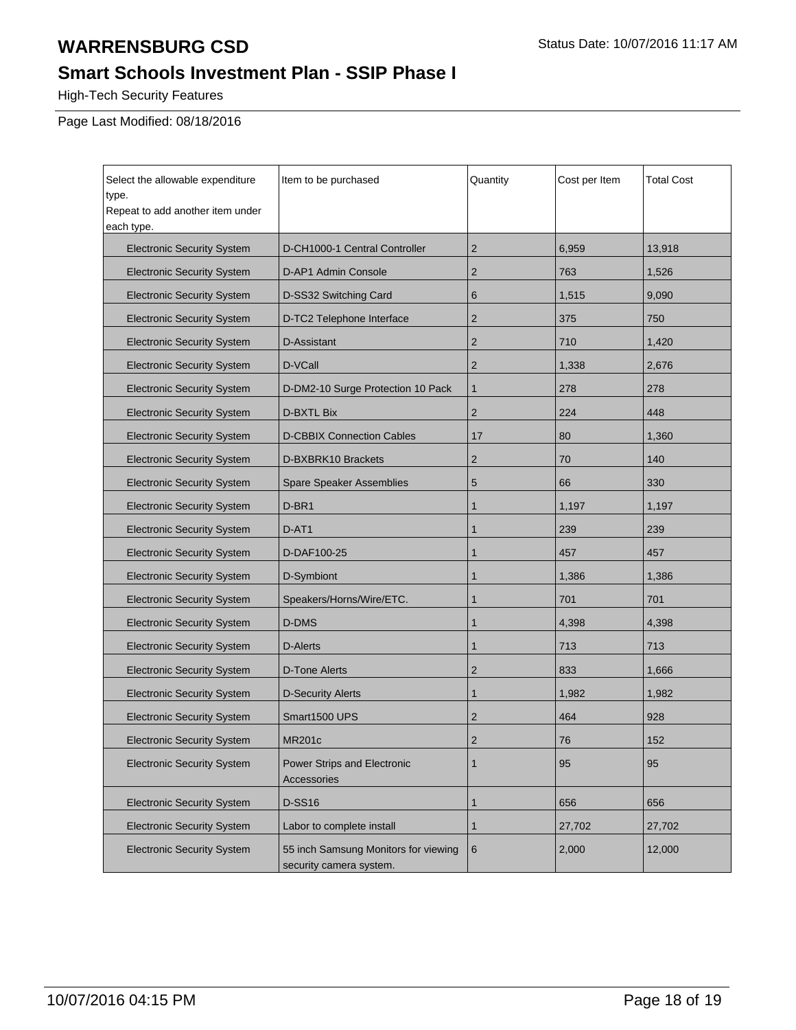## **Smart Schools Investment Plan - SSIP Phase I**

High-Tech Security Features

Page Last Modified: 08/18/2016

| Select the allowable expenditure<br>type.<br>Repeat to add another item under<br>each type. | Item to be purchased                                            | Quantity       | Cost per Item | <b>Total Cost</b> |
|---------------------------------------------------------------------------------------------|-----------------------------------------------------------------|----------------|---------------|-------------------|
| <b>Electronic Security System</b>                                                           | D-CH1000-1 Central Controller                                   | $\overline{2}$ | 6,959         | 13,918            |
| <b>Electronic Security System</b>                                                           | D-AP1 Admin Console                                             | $\overline{2}$ | 763           | 1,526             |
| <b>Electronic Security System</b>                                                           | D-SS32 Switching Card                                           | 6              | 1,515         | 9,090             |
| <b>Electronic Security System</b>                                                           | D-TC2 Telephone Interface                                       | $\overline{2}$ | 375           | 750               |
| <b>Electronic Security System</b>                                                           | D-Assistant                                                     | $\overline{2}$ | 710           | 1,420             |
| <b>Electronic Security System</b>                                                           | D-VCall                                                         | $\overline{2}$ | 1,338         | 2,676             |
| <b>Electronic Security System</b>                                                           | D-DM2-10 Surge Protection 10 Pack                               | $\mathbf{1}$   | 278           | 278               |
| <b>Electronic Security System</b>                                                           | <b>D-BXTL Bix</b>                                               | $\overline{2}$ | 224           | 448               |
| <b>Electronic Security System</b>                                                           | <b>D-CBBIX Connection Cables</b>                                | 17             | 80            | 1,360             |
| <b>Electronic Security System</b>                                                           | D-BXBRK10 Brackets                                              | $\overline{2}$ | 70            | 140               |
| <b>Electronic Security System</b>                                                           | Spare Speaker Assemblies                                        | 5              | 66            | 330               |
| <b>Electronic Security System</b>                                                           | D-BR1                                                           | 1              | 1,197         | 1,197             |
| <b>Electronic Security System</b>                                                           | D-AT1                                                           | $\mathbf{1}$   | 239           | 239               |
| <b>Electronic Security System</b>                                                           | D-DAF100-25                                                     | $\mathbf{1}$   | 457           | 457               |
| <b>Electronic Security System</b>                                                           | D-Symbiont                                                      | $\mathbf{1}$   | 1,386         | 1,386             |
| <b>Electronic Security System</b>                                                           | Speakers/Horns/Wire/ETC.                                        | 1              | 701           | 701               |
| <b>Electronic Security System</b>                                                           | D-DMS                                                           | $\mathbf{1}$   | 4,398         | 4,398             |
| <b>Electronic Security System</b>                                                           | <b>D-Alerts</b>                                                 | 1              | 713           | 713               |
| <b>Electronic Security System</b>                                                           | <b>D-Tone Alerts</b>                                            | $\overline{2}$ | 833           | 1,666             |
| <b>Electronic Security System</b>                                                           | <b>D-Security Alerts</b>                                        | 1              | 1,982         | 1,982             |
| <b>Electronic Security System</b>                                                           | Smart1500 UPS                                                   | $\overline{2}$ | 464           | 928               |
| <b>Electronic Security System</b>                                                           | <b>MR201c</b>                                                   | $\overline{2}$ | 76            | 152               |
| <b>Electronic Security System</b>                                                           | Power Strips and Electronic<br>Accessories                      | $\mathbf{1}$   | 95            | 95                |
| <b>Electronic Security System</b>                                                           | <b>D-SS16</b>                                                   | 1              | 656           | 656               |
| <b>Electronic Security System</b>                                                           | Labor to complete install                                       | $\mathbf{1}$   | 27,702        | 27,702            |
| <b>Electronic Security System</b>                                                           | 55 inch Samsung Monitors for viewing<br>security camera system. | 6              | 2,000         | 12,000            |